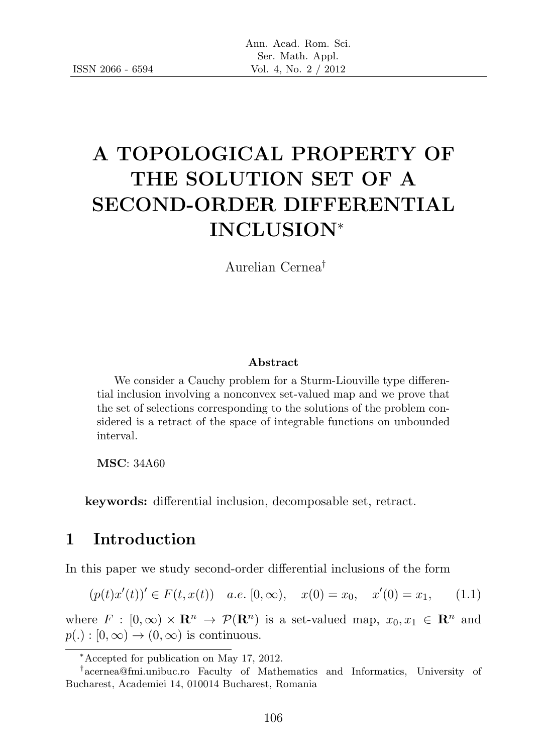# A TOPOLOGICAL PROPERTY OF THE SOLUTION SET OF A SECOND-ORDER DIFFERENTIAL INCLUSION<sup>∗</sup>

Aurelian Cernea†

#### Abstract

We consider a Cauchy problem for a Sturm-Liouville type differential inclusion involving a nonconvex set-valued map and we prove that the set of selections corresponding to the solutions of the problem considered is a retract of the space of integrable functions on unbounded interval.

MSC: 34A60

keywords: differential inclusion, decomposable set, retract.

### 1 Introduction

In this paper we study second-order differential inclusions of the form

$$
(p(t)x'(t))' \in F(t, x(t)) \quad a.e. \ [0, \infty), \quad x(0) = x_0, \quad x'(0) = x_1,\tag{1.1}
$$

where  $F : [0, \infty) \times \mathbb{R}^n \to \mathcal{P}(\mathbb{R}^n)$  is a set-valued map,  $x_0, x_1 \in \mathbb{R}^n$  and  $p(.) : [0, \infty) \rightarrow (0, \infty)$  is continuous.

<sup>∗</sup>Accepted for publication on May 17, 2012.

<sup>†</sup> acernea@fmi.unibuc.ro Faculty of Mathematics and Informatics, University of Bucharest, Academiei 14, 010014 Bucharest, Romania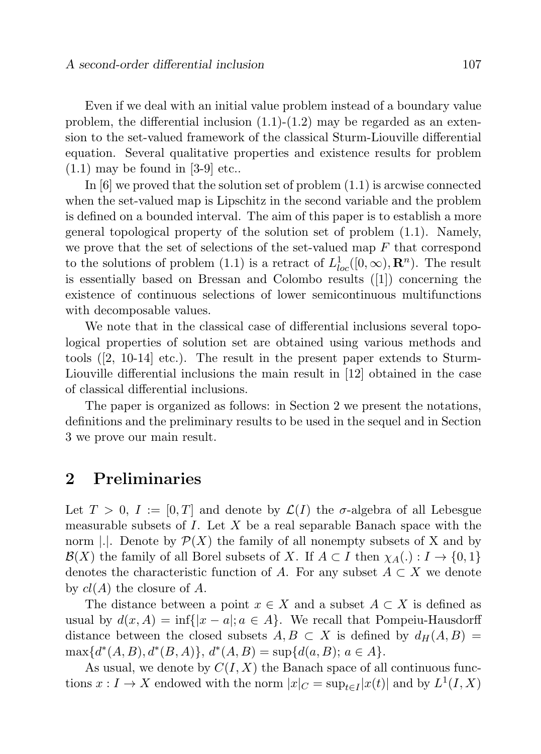Even if we deal with an initial value problem instead of a boundary value problem, the differential inclusion  $(1.1)-(1.2)$  may be regarded as an extension to the set-valued framework of the classical Sturm-Liouville differential equation. Several qualitative properties and existence results for problem  $(1.1)$  may be found in [3-9] etc..

In [6] we proved that the solution set of problem (1.1) is arcwise connected when the set-valued map is Lipschitz in the second variable and the problem is defined on a bounded interval. The aim of this paper is to establish a more general topological property of the solution set of problem (1.1). Namely, we prove that the set of selections of the set-valued map  $F$  that correspond to the solutions of problem (1.1) is a retract of  $L_{loc}^1([0,\infty),\mathbf{R}^n)$ . The result is essentially based on Bressan and Colombo results ([1]) concerning the existence of continuous selections of lower semicontinuous multifunctions with decomposable values.

We note that in the classical case of differential inclusions several topological properties of solution set are obtained using various methods and tools ([2, 10-14] etc.). The result in the present paper extends to Sturm-Liouville differential inclusions the main result in [12] obtained in the case of classical differential inclusions.

The paper is organized as follows: in Section 2 we present the notations, definitions and the preliminary results to be used in the sequel and in Section 3 we prove our main result.

## 2 Preliminaries

Let  $T > 0$ ,  $I := [0, T]$  and denote by  $\mathcal{L}(I)$  the  $\sigma$ -algebra of all Lebesgue measurable subsets of  $I$ . Let  $X$  be a real separable Banach space with the norm  $\Box$ . Denote by  $\mathcal{P}(X)$  the family of all nonempty subsets of X and by  $\mathcal{B}(X)$  the family of all Borel subsets of X. If  $A \subset I$  then  $\chi_A(.) : I \to \{0,1\}$ denotes the characteristic function of A. For any subset  $A \subset X$  we denote by  $cl(A)$  the closure of A.

The distance between a point  $x \in X$  and a subset  $A \subset X$  is defined as usual by  $d(x, A) = \inf\{|x - a|; a \in A\}$ . We recall that Pompeiu-Hausdorff distance between the closed subsets  $A, B \subset X$  is defined by  $d_H(A, B) =$  $\max\{d^*(A, B), d^*(B, A)\}, d^*(A, B) = \sup\{d(a, B); a \in A\}.$ 

As usual, we denote by  $C(I, X)$  the Banach space of all continuous functions  $x: I \to X$  endowed with the norm  $|x|_C = \sup_{t \in I} |x(t)|$  and by  $L^1(I, X)$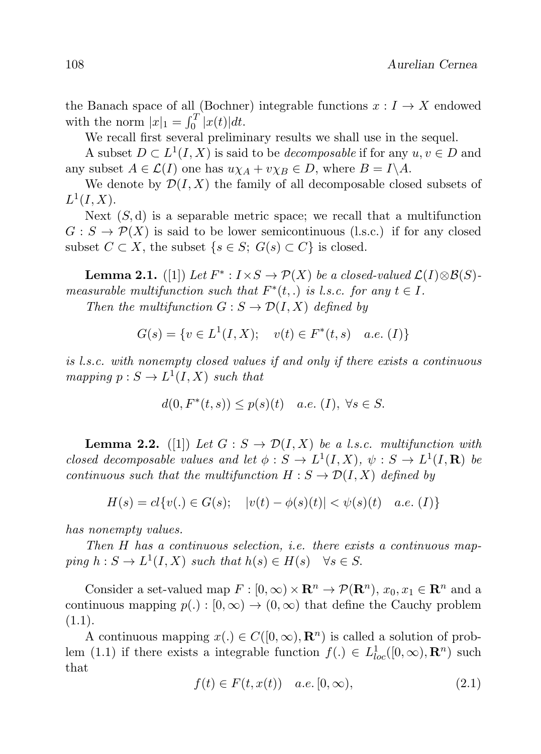the Banach space of all (Bochner) integrable functions  $x: I \to X$  endowed with the norm  $|x|_1 = \int_0^T |x(t)| dt$ .

We recall first several preliminary results we shall use in the sequel.

A subset  $D \subset L^1(I, X)$  is said to be *decomposable* if for any  $u, v \in D$  and any subset  $A \in \mathcal{L}(I)$  one has  $u \chi_A + v \chi_B \in D$ , where  $B = I \backslash A$ .

We denote by  $\mathcal{D}(I, X)$  the family of all decomposable closed subsets of  $L^1(I,X)$ .

Next  $(S, d)$  is a separable metric space; we recall that a multifunction  $G: S \to \mathcal{P}(X)$  is said to be lower semicontinuous (l.s.c.) if for any closed subset  $C \subset X$ , the subset  $\{s \in S; G(s) \subset C\}$  is closed.

**Lemma 2.1.** ([1]) Let  $F^*$ :  $I \times S \to \mathcal{P}(X)$  be a closed-valued  $\mathcal{L}(I) \otimes \mathcal{B}(S)$ measurable multifunction such that  $F^*(t,.)$  is l.s.c. for any  $t \in I$ .

Then the multifunction  $G : S \to \mathcal{D}(I, X)$  defined by

$$
G(s) = \{ v \in L^1(I, X); \quad v(t) \in F^*(t, s) \quad a.e. (I) \}
$$

is l.s.c. with nonempty closed values if and only if there exists a continuous mapping  $p: S \to L^1(I, X)$  such that

$$
d(0, F^*(t, s)) \le p(s)(t) \quad a.e. \ (I), \ \forall s \in S.
$$

**Lemma 2.2.** ([1]) Let  $G : S \to \mathcal{D}(I, X)$  be a l.s.c. multifunction with closed decomposable values and let  $\phi : S \to L^1(I,X)$ ,  $\psi : S \to L^1(I,\mathbf{R})$  be continuous such that the multifunction  $H : S \to \mathcal{D}(I, X)$  defined by

 $H(s) = cl\{v(.) \in G(s); \quad |v(t) - \phi(s)(t)| < \psi(s)(t) \quad a.e. \ (I)\}\$ 

has nonempty values.

Then H has a continuous selection, i.e. there exists a continuous mapping  $h: S \to L^1(I, X)$  such that  $h(s) \in H(s) \quad \forall s \in S$ .

Consider a set-valued map  $F : [0, \infty) \times \mathbb{R}^n \to \mathcal{P}(\mathbb{R}^n)$ ,  $x_0, x_1 \in \mathbb{R}^n$  and a continuous mapping  $p(.) : [0, \infty) \to (0, \infty)$  that define the Cauchy problem  $(1.1).$ 

A continuous mapping  $x(.) \in C([0,\infty), \mathbb{R}^n)$  is called a solution of problem (1.1) if there exists a integrable function  $f(.) \in L^1_{loc}([0,\infty), \mathbf{R}^n)$  such that

$$
f(t) \in F(t, x(t)) \quad a.e. \ [0, \infty), \tag{2.1}
$$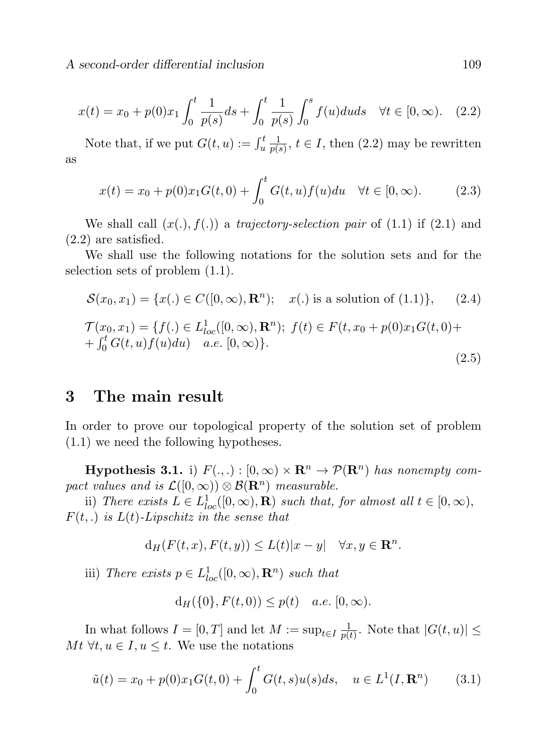A second-order differential inclusion 109

$$
x(t) = x_0 + p(0)x_1 \int_0^t \frac{1}{p(s)} ds + \int_0^t \frac{1}{p(s)} \int_0^s f(u) du ds \quad \forall t \in [0, \infty). \quad (2.2)
$$

Note that, if we put  $G(t, u) := \int_u^t \frac{1}{p(s)}$  $\frac{1}{p(s)}$ ,  $t \in I$ , then  $(2.2)$  may be rewritten as

$$
x(t) = x_0 + p(0)x_1G(t,0) + \int_0^t G(t,u)f(u)du \quad \forall t \in [0,\infty).
$$
 (2.3)

We shall call  $(x(.), f(.))$  a trajectory-selection pair of  $(1.1)$  if  $(2.1)$  and (2.2) are satisfied.

We shall use the following notations for the solution sets and for the selection sets of problem (1.1).

$$
S(x_0, x_1) = \{x(.) \in C([0, \infty), \mathbf{R}^n); \quad x(.) \text{ is a solution of (1.1)}\}, \quad (2.4)
$$
  

$$
\mathcal{T}(x_0, x_1) = \{f(.) \in L^1_{loc}([0, \infty), \mathbf{R}^n); \ f(t) \in F(t, x_0 + p(0)x_1G(t, 0) + \int_0^t G(t, u)f(u)du) \quad a.e. [0, \infty)\}.
$$
  
(2.5)

#### 3 The main result

In order to prove our topological property of the solution set of problem (1.1) we need the following hypotheses.

**Hypothesis 3.1.** i)  $F(.,.): [0, \infty) \times \mathbb{R}^n \to \mathcal{P}(\mathbb{R}^n)$  has nonempty compact values and is  $\mathcal{L}([0,\infty)) \otimes \mathcal{B}(\mathbf{R}^n)$  measurable.

ii) There exists  $L \in L^1_{loc}([0,\infty),\mathbf{R})$  such that, for almost all  $t \in [0,\infty)$ ,  $F(t,.)$  is  $L(t)$ -Lipschitz in the sense that

$$
d_H(F(t, x), F(t, y)) \le L(t)|x - y| \quad \forall x, y \in \mathbf{R}^n.
$$

iii) There exists  $p \in L^1_{loc}([0,\infty), \mathbf{R}^n)$  such that

$$
d_H({0}, F(t,0)) \le p(t)
$$
 a.e.  $[0, \infty)$ .

In what follows  $I = [0, T]$  and let  $M := \sup_{t \in I} \frac{1}{p(t)}$  $\frac{1}{p(t)}$ . Note that  $|G(t, u)| \le$  $Mt \forall t, u \in I, u \leq t$ . We use the notations

$$
\tilde{u}(t) = x_0 + p(0)x_1 G(t, 0) + \int_0^t G(t, s)u(s)ds, \quad u \in L^1(I, \mathbf{R}^n)
$$
 (3.1)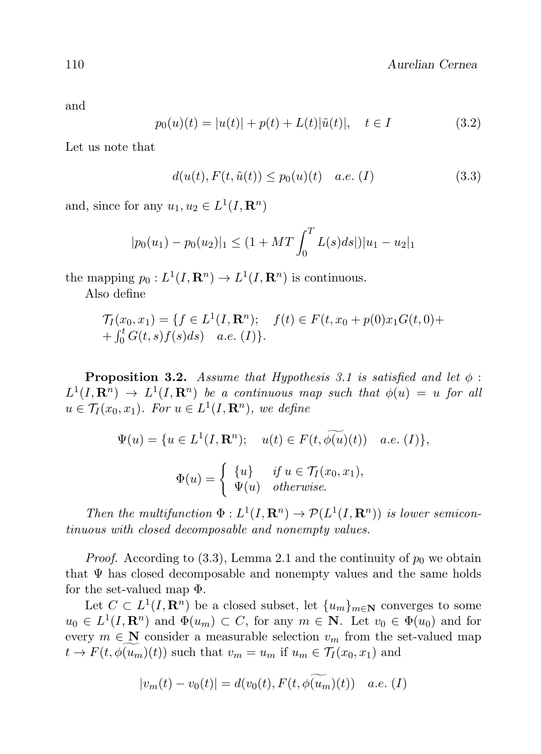and

$$
p_0(u)(t) = |u(t)| + p(t) + L(t)|\tilde{u}(t)|, \quad t \in I
$$
\n(3.2)

Let us note that

$$
d(u(t), F(t, \tilde{u}(t)) \le p_0(u)(t) \quad a.e. (I)
$$
\n(3.3)

and, since for any  $u_1, u_2 \in L^1(I, \mathbf{R}^n)$ 

$$
|p_0(u_1) - p_0(u_2)|_1 \le (1 + MT \int_0^T L(s) ds)|u_1 - u_2|_1
$$

the mapping  $p_0: L^1(I, \mathbf{R}^n) \to L^1(I, \mathbf{R}^n)$  is continuous.

Also define

$$
\mathcal{T}_I(x_0, x_1) = \{ f \in L^1(I, \mathbf{R}^n); \quad f(t) \in F(t, x_0 + p(0)x_1 G(t, 0) +
$$
  
+  $\int_0^t G(t, s) f(s) ds$ ) a.e. (I) \}.

**Proposition 3.2.** Assume that Hypothesis 3.1 is satisfied and let  $\phi$ :  $L^1(I, \mathbf{R}^n) \to L^1(I, \mathbf{R}^n)$  be a continuous map such that  $\phi(u) = u$  for all  $u \in \mathcal{T}_I(x_0, x_1)$ . For  $u \in L^1(I, \mathbf{R}^n)$ , we define

$$
\Psi(u) = \{u \in L^1(I, \mathbf{R}^n); \quad u(t) \in F(t, \widetilde{\phi(u)}(t)) \quad a.e. (I)\},
$$

$$
\Phi(u) = \begin{cases} \{u\} & \text{if } u \in \mathcal{T}_I(x_0, x_1), \\ \Psi(u) & \text{otherwise.} \end{cases}
$$

Then the multifunction  $\Phi: L^1(I, \mathbf{R}^n) \to \mathcal{P}(L^1(I, \mathbf{R}^n))$  is lower semicontinuous with closed decomposable and nonempty values.

*Proof.* According to (3.3), Lemma 2.1 and the continuity of  $p_0$  we obtain that  $\Psi$  has closed decomposable and nonempty values and the same holds for the set-valued map Φ.

Let  $C \subset L^1(I, \mathbf{R}^n)$  be a closed subset, let  $\{u_m\}_{m \in \mathbf{N}}$  converges to some  $u_0 \in L^1(I, \mathbf{R}^n)$  and  $\Phi(u_m) \subset C$ , for any  $m \in \mathbf{N}$ . Let  $v_0 \in \Phi(u_0)$  and for every  $m \in \mathbb{N}$  consider a measurable selection  $v_m$  from the set-valued map  $t \to F(t, \phi(u_m)(t))$  such that  $v_m = u_m$  if  $u_m \in \mathcal{T}_I(x_0, x_1)$  and

$$
|v_m(t) - v_0(t)| = d(v_0(t), F(t, \phi(u_m)(t)) \quad a.e. (I)
$$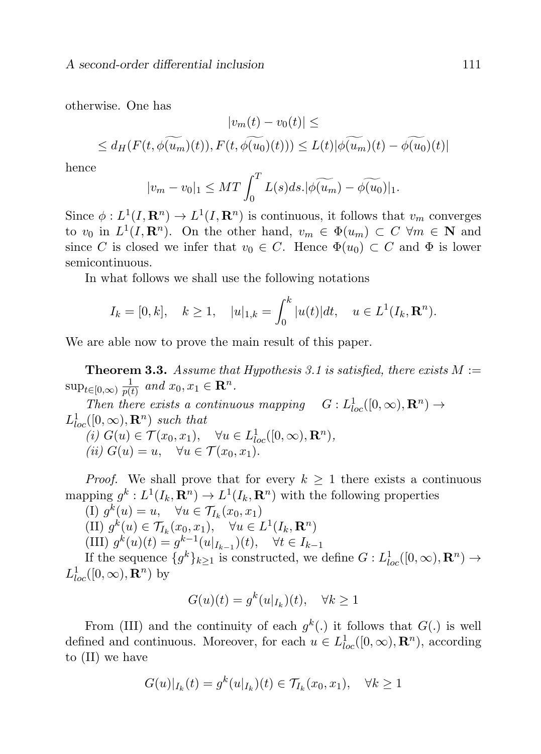otherwise. One has

$$
|v_m(t) - v_0(t)| \le
$$
  

$$
\le d_H(F(t, \phi(u_m)(t)), F(t, \phi(u_0)(t))) \le L(t) |\phi(u_m)(t) - \phi(u_0)(t)|
$$

hence

$$
|v_m - v_0|_1 \le MT \int_0^T L(s) ds. |\widetilde{\phi(u_m)} - \widetilde{\phi(u_0)}|_1.
$$

Since  $\phi: L^1(I, \mathbf{R}^n) \to L^1(I, \mathbf{R}^n)$  is continuous, it follows that  $v_m$  converges to  $v_0$  in  $L^1(I, \mathbf{R}^n)$ . On the other hand,  $v_m \in \Phi(u_m) \subset C \ \forall m \in \mathbf{N}$  and since C is closed we infer that  $v_0 \in C$ . Hence  $\Phi(u_0) \subset C$  and  $\Phi$  is lower semicontinuous.

In what follows we shall use the following notations

$$
I_k = [0, k], \quad k \ge 1, \quad |u|_{1,k} = \int_0^k |u(t)| dt, \quad u \in L^1(I_k, \mathbf{R}^n).
$$

We are able now to prove the main result of this paper.

**Theorem 3.3.** Assume that Hypothesis 3.1 is satisfied, there exists  $M :=$  $\sup_{t\in[0,\infty)}\frac{1}{p(t)}$  $\frac{1}{p(t)}$  and  $x_0, x_1 \in \mathbf{R}^n$ .

Then there exists a continuous mapping  $G: L^1_{loc}([0,\infty), \mathbf{R}^n) \to$  $L_{loc}^1([0,\infty),\mathbf{R}^n)$  such that (i)  $G(u) \in \mathcal{T}(x_0, x_1), \quad \forall u \in L^1_{loc}([0, \infty), \mathbf{R}^n),$ (ii)  $G(u) = u$ ,  $\forall u \in \mathcal{T}(x_0, x_1)$ .

*Proof.* We shall prove that for every  $k \geq 1$  there exists a continuous mapping  $g^k: L^1(I_k, \mathbf{R}^n) \to L^1(I_k, \mathbf{R}^n)$  with the following properties

(I)  $g^k(u) = u$ ,  $\forall u \in \mathcal{T}_{I_k}(x_0, x_1)$ 

(II)  $g^k(u) \in \mathcal{T}_{I_k}(x_0, x_1), \quad \forall u \in L^1(I_k, \mathbf{R}^n)$ 

(III)  $g^k(u)(t) = g^{k-1}(u|_{I_{k-1}})(t), \quad \forall t \in I_{k-1}$ 

If the sequence  $\{g^k\}_{k\geq 1}$  is constructed, we define  $G: L^1_{loc}([0, \infty), \mathbf{R}^n) \to$  $L^1_{loc}([0,\infty),\mathbf{R}^n)$  by

$$
G(u)(t) = g^k(u|_{I_k})(t), \quad \forall k \ge 1
$$

From (III) and the continuity of each  $g^k(.)$  it follows that  $G(.)$  is well defined and continuous. Moreover, for each  $u \in L^1_{loc}([0,\infty), \mathbf{R}^n)$ , according to (II) we have

$$
G(u)|_{I_k}(t) = g^k(u|_{I_k})(t) \in \mathcal{T}_{I_k}(x_0, x_1), \quad \forall k \ge 1
$$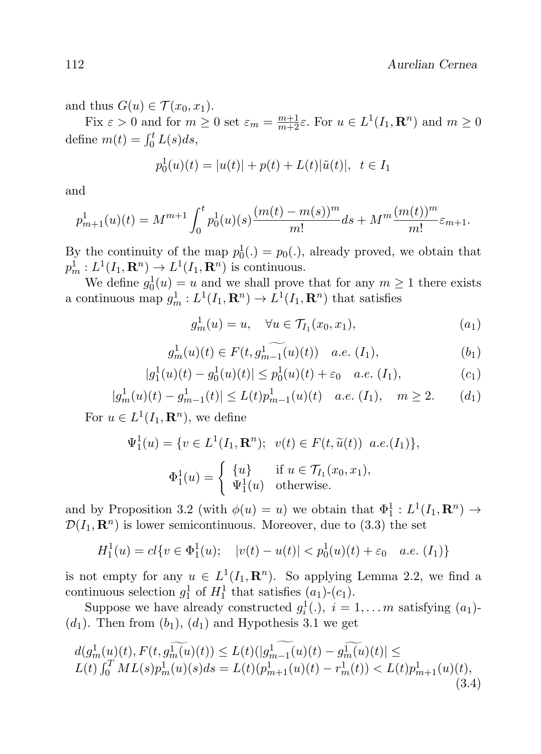112 Aurelian Cernea

and thus  $G(u) \in \mathcal{T}(x_0, x_1)$ .

Fix  $\varepsilon > 0$  and for  $m \ge 0$  set  $\varepsilon_m = \frac{m+1}{m+2}\varepsilon$ . For  $u \in L^1(I_1, \mathbf{R}^n)$  and  $m \ge 0$ define  $m(t) = \int_0^t L(s)ds$ ,

$$
p_0^1(u)(t) = |u(t)| + p(t) + L(t)|\tilde{u}(t)|, \ \ t \in I_1
$$

and

$$
p_{m+1}^1(u)(t) = M^{m+1} \int_0^t p_0^1(u)(s) \frac{(m(t) - m(s))^m}{m!} ds + M^m \frac{(m(t))^m}{m!} \varepsilon_{m+1}.
$$

By the continuity of the map  $p_0^1(.) = p_0(.)$ , already proved, we obtain that  $p_m^1: L^1(I_1, \mathbf{R}^n) \to L^1(I_1, \mathbf{R}^n)$  is continuous.

We define  $g_0^1(u) = u$  and we shall prove that for any  $m \ge 1$  there exists a continuous map  $g_m^1: L^1(I_1, \mathbf{R}^n) \to L^1(I_1, \mathbf{R}^n)$  that satisfies

$$
g_m^1(u) = u, \quad \forall u \in \mathcal{T}_{I_1}(x_0, x_1), \tag{a_1}
$$

$$
g_m^1(u)(t) \in F(t, g_{m-1}^1(u)(t)) \quad a.e. \ (I_1), \tag{b_1}
$$

$$
|g_1^1(u)(t) - g_0^1(u)(t)| \le p_0^1(u)(t) + \varepsilon_0 \quad a.e. \ (I_1), \tag{c_1}
$$

$$
|g_m^1(u)(t) - g_{m-1}^1(t)| \le L(t)p_{m-1}^1(u)(t) \quad a.e. (I_1), \quad m \ge 2. \tag{d_1}
$$

For  $u \in L^1(I_1, \mathbf{R}^n)$ , we define

$$
\Psi_1^1(u) = \{ v \in L^1(I_1, \mathbf{R}^n); \quad v(t) \in F(t, \tilde{u}(t)) \text{ a.e.}(I_1) \},
$$

$$
\Phi_1^1(u) = \begin{cases} \{u\} & \text{if } u \in \mathcal{T}_{I_1}(x_0, x_1), \\ \Psi_1^1(u) & \text{otherwise.} \end{cases}
$$

and by Proposition 3.2 (with  $\phi(u) = u$ ) we obtain that  $\Phi_1^1: L^1(I_1, \mathbf{R}^n) \to$  $\mathcal{D}(I_1, \mathbf{R}^n)$  is lower semicontinuous. Moreover, due to (3.3) the set

$$
H_1^1(u) = cl\{v \in \Phi_1^1(u); \quad |v(t) - u(t)| < p_0^1(u)(t) + \varepsilon_0 \quad a.e. \ (I_1)\}
$$

is not empty for any  $u \in L^1(I_1, \mathbf{R}^n)$ . So applying Lemma 2.2, we find a continuous selection  $g_1^1$  of  $H_1^1$  that satisfies  $(a_1)-(c_1)$ .

Suppose we have already constructed  $g_i^1(.)$ ,  $i = 1,...,m$  satisfying  $(a_1)$ - $(d_1)$ . Then from  $(b_1)$ ,  $(d_1)$  and Hypothesis 3.1 we get

$$
d(g_m^1(u)(t), F(t, g_m^1(u)(t)) \le L(t)(|g_{m-1}^1(u)(t) - g_m^1(u)(t)| \le
$$
  
\n
$$
L(t) \int_0^T ML(s)p_m^1(u)(s)ds = L(t)(p_{m+1}^1(u)(t) - r_m^1(t)) < L(t)p_{m+1}^1(u)(t),
$$
\n(3.4)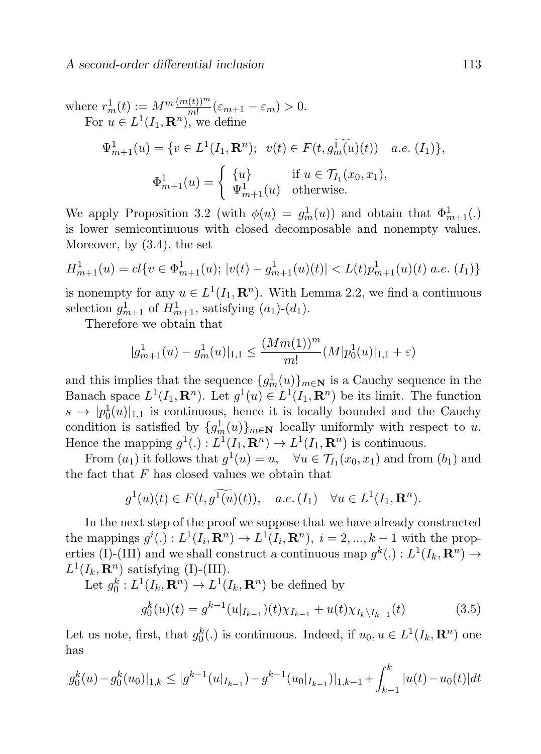where 
$$
r_m^1(t) := M^m \frac{(m(t))^m}{m!} (\varepsilon_{m+1} - \varepsilon_m) > 0
$$
.  
\nFor  $u \in L^1(I_1, \mathbf{R}^n)$ , we define  
\n
$$
\Psi_{m+1}^1(u) = \{ v \in L^1(I_1, \mathbf{R}^n); \ v(t) \in F(t, g_m^1(u)(t)) \quad a.e. (I_1) \},
$$
\n
$$
\Phi_{m+1}^1(u) = \begin{cases} \{u\} & \text{if } u \in \mathcal{T}_{I_1}(x_0, x_1), \\ \Psi_{m+1}^1(u) & \text{otherwise.} \end{cases}
$$

We apply Proposition 3.2 (with  $\phi(u) = g_m^1(u)$ ) and obtain that  $\Phi_{m+1}^1(.)$ is lower semicontinuous with closed decomposable and nonempty values. Moreover, by (3.4), the set

$$
H_{m+1}^1(u) = cl\{v \in \Phi_{m+1}^1(u); \ |v(t) - g_{m+1}^1(u)(t)| < L(t)p_{m+1}^1(u)(t) \ a.e. \ (I_1)\}
$$

is nonempty for any  $u \in L^1(I_1, \mathbf{R}^n)$ . With Lemma 2.2, we find a continuous selection  $g_{m+1}^1$  of  $H_{m+1}^1$ , satisfying  $(a_1)-(d_1)$ .

Therefore we obtain that

$$
|g_{m+1}^1(u) - g_m^1(u)|_{1,1} \le \frac{(Mm(1))^m}{m!} (M|p_0^1(u)|_{1,1} + \varepsilon)
$$

and this implies that the sequence  ${g_m^1(u)}_{m\in\mathbf{N}}$  is a Cauchy sequence in the Banach space  $L^1(I_1, \mathbf{R}^n)$ . Let  $g^1(u) \in L^1(I_1, \mathbf{R}^n)$  be its limit. The function  $s \to |p_0^1(u)|_{1,1}$  is continuous, hence it is locally bounded and the Cauchy condition is satisfied by  $\{g_m^1(u)\}_{m\in\mathbb{N}}$  locally uniformly with respect to u. Hence the mapping  $g^1(.) : L^1(I_1, \mathbf{R}^n) \to L^1(I_1, \mathbf{R}^n)$  is continuous.

From  $(a_1)$  it follows that  $g^1(u) = u$ ,  $\forall u \in \mathcal{T}_{I_1}(x_0, x_1)$  and from  $(b_1)$  and the fact that  $F$  has closed values we obtain that

$$
g^1(u)(t) \in F(t, g^1(u)(t)), \quad a.e. (I_1) \quad \forall u \in L^1(I_1, \mathbf{R}^n).
$$

In the next step of the proof we suppose that we have already constructed the mappings  $g^{i}(.): L^{1}(I_{i}, \mathbf{R}^{n}) \to L^{1}(I_{i}, \mathbf{R}^{n}), i = 2, ..., k - 1$  with the properties (I)-(III) and we shall construct a continuous map  $g^k(.) : L^1(I_k, \mathbf{R}^n) \to$  $L^1(I_k, \mathbf{R}^n)$  satisfying (I)-(III).

Let  $g_0^k: L^1(I_k, \mathbf{R}^n) \to L^1(I_k, \mathbf{R}^n)$  be defined by

$$
g_0^k(u)(t) = g^{k-1}(u|_{I_{k-1}})(t)\chi_{I_{k-1}} + u(t)\chi_{I_k\backslash I_{k-1}}(t)
$$
\n(3.5)

Let us note, first, that  $g_0^k(.)$  is continuous. Indeed, if  $u_0, u \in L^1(I_k, \mathbf{R}^n)$  one has

$$
|g_0^k(u) - g_0^k(u_0)|_{1,k} \le |g^{k-1}(u|_{I_{k-1}}) - g^{k-1}(u_0|_{I_{k-1}})|_{1,k-1} + \int_{k-1}^k |u(t) - u_0(t)|dt
$$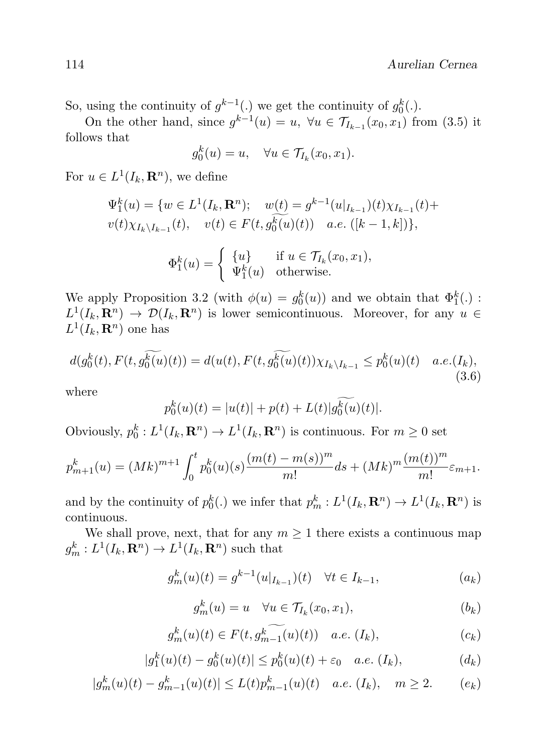So, using the continuity of  $g^{k-1}$ (.) we get the continuity of  $g_0^k$ (.).

On the other hand, since  $g^{k-1}(u) = u$ ,  $\forall u \in \mathcal{T}_{I_{k-1}}(x_0, x_1)$  from (3.5) it follows that

$$
g_0^k(u) = u, \quad \forall u \in \mathcal{T}_{I_k}(x_0, x_1).
$$

For  $u \in L^1(I_k, \mathbf{R}^n)$ , we define

$$
\Psi_1^k(u) = \{ w \in L^1(I_k, \mathbf{R}^n); \quad w(\underline{t}) = g^{k-1}(u|_{I_{k-1}})(t)\chi_{I_{k-1}}(t) +
$$
  

$$
v(t)\chi_{I_k\setminus I_{k-1}}(t), \quad v(t) \in F(t, g_0^k(u)(t)) \quad a.e. \quad ([k-1, k]) \},
$$
  

$$
\Phi_1^k(u) = \begin{cases} \{u\} & \text{if } u \in \mathcal{T}_{I_k}(x_0, x_1), \\ \Psi_1^k(u) & \text{otherwise.} \end{cases}
$$

We apply Proposition 3.2 (with  $\phi(u) = g_0^k(u)$ ) and we obtain that  $\Phi_1^k(.)$ :  $L^1(I_k, \mathbf{R}^n) \to \mathcal{D}(I_k, \mathbf{R}^n)$  is lower semicontinuous. Moreover, for any  $u \in$  $L^1(I_k,\mathbf{R}^n)$  one has

$$
d(g_0^k(t), F(t, g_0^{\widetilde{k(u)}}(t)) = d(u(t), F(t, g_0^{\widetilde{k(u)}}(t))\chi_{I_k\backslash I_{k-1}} \le p_0^k(u)(t) \quad a.e.(I_k),
$$
\n(3.6)

where

$$
p_0^k(u)(t) = |u(t)| + p(t) + L(t)|g_0^k(u)(t)|.
$$

Obviously,  $p_0^k: L^1(I_k, \mathbf{R}^n) \to L^1(I_k, \mathbf{R}^n)$  is continuous. For  $m \geq 0$  set

$$
p_{m+1}^k(u) = (Mk)^{m+1} \int_0^t p_0^k(u)(s) \frac{(m(t) - m(s))^m}{m!} ds + (Mk)^m \frac{(m(t))^m}{m!} \varepsilon_{m+1}.
$$

and by the continuity of  $p_0^k(.)$  we infer that  $p_m^k : L^1(I_k, \mathbf{R}^n) \to L^1(I_k, \mathbf{R}^n)$  is continuous.

We shall prove, next, that for any  $m \geq 1$  there exists a continuous map  $g_m^k: L^1(I_k, \mathbf{R}^n) \to L^1(I_k, \mathbf{R}^n)$  such that

$$
g_m^k(u)(t) = g^{k-1}(u|_{I_{k-1}})(t) \quad \forall t \in I_{k-1},
$$
\n
$$
(a_k)
$$

$$
g_m^k(u) = u \quad \forall u \in \mathcal{T}_{I_k}(x_0, x_1), \tag{b_k}
$$

$$
g_m^k(u)(t) \in F(t, g_{m-1}^k(u)(t)) \quad a.e. \ (I_k), \tag{c_k}
$$

$$
|g_1^k(u)(t) - g_0^k(u)(t)| \le p_0^k(u)(t) + \varepsilon_0 \quad a.e. \ (I_k), \tag{d_k}
$$

$$
|g_m^k(u)(t) - g_{m-1}^k(u)(t)| \le L(t)p_{m-1}^k(u)(t) \quad a.e. \ (I_k), \quad m \ge 2. \tag{e_k}
$$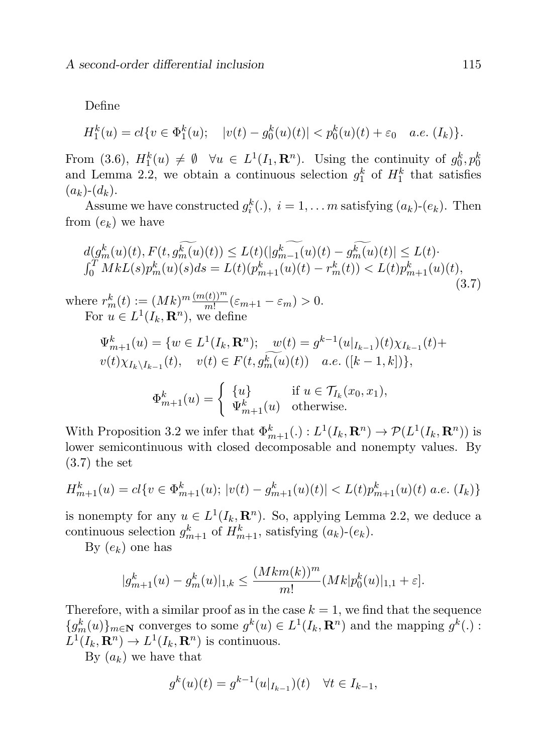Define

$$
H_1^k(u) = cl\{v \in \Phi_1^k(u); \quad |v(t) - g_0^k(u)(t)| < p_0^k(u)(t) + \varepsilon_0 \quad a.e. \ (I_k)\}.
$$

From (3.6),  $H_1^k(u) \neq \emptyset$   $\forall u \in L^1(I_1, \mathbf{R}^n)$ . Using the continuity of  $g_0^k, p_0^k$ and Lemma 2.2, we obtain a continuous selection  $g_1^k$  of  $H_1^k$  that satisfies  $(a_k)-(d_k).$ 

Assume we have constructed  $g_i^k(.)$ ,  $i = 1,... m$  satisfying  $(a_k)$ - $(e_k)$ . Then from  $(e_k)$  we have

$$
d(g_m^k(u)(t), F(t, g_m^{\widetilde{k(u)}}(t)) \le L(t)(|g_{m-1}^k(u)(t) - g_m^{\widetilde{k(u)}}(t)| \le L(t) \cdot \int_0^T MkL(s)p_m^k(u)(s)ds = L(t)(p_{m+1}^k(u)(t) - r_m^k(t)) < L(t)p_{m+1}^k(u)(t),
$$
  
where  $r_m^k(t) := (Mk)^m \frac{(m(t))^m}{m!} (\varepsilon_{m+1} - \varepsilon_m) > 0.$  (3.7)

For  $u \in L^1(I_k, \mathbf{R}^n)$ , we define

$$
\Psi_{m+1}^{k}(u) = \{ w \in L^{1}(I_{k}, \mathbf{R}^{n}); \quad w(t) = g^{k-1}(u|_{I_{k-1}})(t)\chi_{I_{k-1}}(t) + v(t)\chi_{I_{k-1}}(t), \quad v(t) \in F(t, g_{m}^{\overline{k}}(u)(t)) \quad a.e. \quad ([k-1, k]) \},
$$

$$
\Phi_{m+1}^{k}(u) = \begin{cases} \{ u \} & \text{if } u \in \mathcal{T}_{I_{k}}(x_{0}, x_{1}), \\ \Psi_{m+1}^{k}(u) & \text{otherwise.} \end{cases}
$$

With Proposition 3.2 we infer that  $\Phi_{m+1}^k(.) : L^1(I_k, \mathbf{R}^n) \to \mathcal{P}(L^1(I_k, \mathbf{R}^n))$  is lower semicontinuous with closed decomposable and nonempty values. By (3.7) the set

$$
H_{m+1}^{k}(u) = cl\{v \in \Phi_{m+1}^{k}(u); \, |v(t) - g_{m+1}^{k}(u)(t)| < L(t)p_{m+1}^{k}(u)(t) \, a.e. \, (I_k)\}
$$

is nonempty for any  $u \in L^1(I_k, \mathbf{R}^n)$ . So, applying Lemma 2.2, we deduce a continuous selection  $g_{m+1}^k$  of  $H_{m+1}^k$ , satisfying  $(a_k)$ - $(e_k)$ .

By  $(e_k)$  one has

$$
|g_{m+1}^{k}(u) - g_{m}^{k}(u)|_{1,k} \leq \frac{(Mkm(k))^{m}}{m!} (Mk|p_{0}^{k}(u)|_{1,1} + \varepsilon].
$$

Therefore, with a similar proof as in the case  $k = 1$ , we find that the sequence  ${g_m^k(u)}_{m \in \mathbb{N}}$  converges to some  $g^k(u) \in L^1(I_k, \mathbb{R}^n)$  and the mapping  $g^k(.)$ :  $L^1(I_k, \mathbf{R}^n) \to L^1(I_k, \mathbf{R}^n)$  is continuous.

By  $(a_k)$  we have that

$$
g^{k}(u)(t) = g^{k-1}(u|_{I_{k-1}})(t) \quad \forall t \in I_{k-1},
$$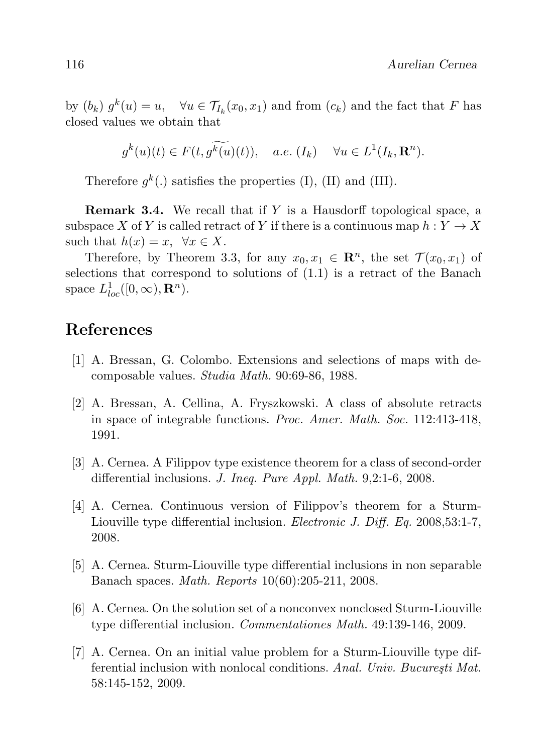by  $(b_k) g^k(u) = u$ ,  $\forall u \in \mathcal{T}_{I_k}(x_0, x_1)$  and from  $(c_k)$  and the fact that F has closed values we obtain that

$$
g^k(u)(t) \in F(t, g^k(u)(t)), \quad a.e. \ (I_k) \quad \forall u \in L^1(I_k, \mathbf{R}^n).
$$

Therefore  $g^k(.)$  satisfies the properties (I), (II) and (III).

**Remark 3.4.** We recall that if  $Y$  is a Hausdorff topological space, a subspace X of Y is called retract of Y if there is a continuous map  $h: Y \to X$ such that  $h(x) = x$ ,  $\forall x \in X$ .

Therefore, by Theorem 3.3, for any  $x_0, x_1 \in \mathbb{R}^n$ , the set  $\mathcal{T}(x_0, x_1)$  of selections that correspond to solutions of (1.1) is a retract of the Banach space  $L_{loc}^1([0,\infty),\mathbf{R}^n)$ .

#### References

- [1] A. Bressan, G. Colombo. Extensions and selections of maps with decomposable values. Studia Math. 90:69-86, 1988.
- [2] A. Bressan, A. Cellina, A. Fryszkowski. A class of absolute retracts in space of integrable functions. Proc. Amer. Math. Soc. 112:413-418, 1991.
- [3] A. Cernea. A Filippov type existence theorem for a class of second-order differential inclusions. J. Ineq. Pure Appl. Math. 9,2:1-6, 2008.
- [4] A. Cernea. Continuous version of Filippov's theorem for a Sturm-Liouville type differential inclusion. *Electronic J. Diff. Eq.* 2008,53:1-7, 2008.
- [5] A. Cernea. Sturm-Liouville type differential inclusions in non separable Banach spaces. Math. Reports 10(60):205-211, 2008.
- [6] A. Cernea. On the solution set of a nonconvex nonclosed Sturm-Liouville type differential inclusion. Commentationes Math. 49:139-146, 2009.
- [7] A. Cernea. On an initial value problem for a Sturm-Liouville type differential inclusion with nonlocal conditions. Anal. Univ. București Mat. 58:145-152, 2009.